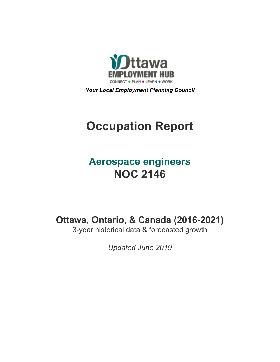

*Your Local Employment Planning Council*

# **Occupation Report**

# **Aerospace engineers NOC 2146**

**Ottawa, Ontario, & Canada (2016-2021)**

3-year historical data & forecasted growth

*Updated June 2019*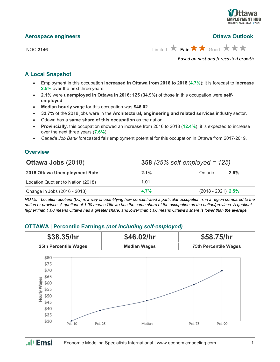

| <b>Aerospace engineers</b> | <b>Ottawa Outlook</b>                                                         |
|----------------------------|-------------------------------------------------------------------------------|
| <b>NOC 2146</b>            | Limited $\bigstar$ Fair $\bigstar \bigstar$ Good $\bigstar \bigstar \bigstar$ |
|                            | Based on past and forecasted growth.                                          |

#### **A Local Snapshot**

- Employment in this occupation **increased in Ottawa from 2016 to 2018** (**4.7%**); it is forecast to **increase 2.5%** over the next three years.
- **2.1%** were **unemployed in Ottawa in 2016; 125 (34.9%)** of those in this occupation were **selfemployed**.
- **Median hourly wage** for this occupation was **\$46.02**.
- **32.7%** of the 2018 jobs were in the **Architectural, engineering and related services** industry sector.
- Ottawa has a **same share of this occupation** as the nation.
- **Provincially**, this occupation showed an increase from 2016 to 2018 (**12.4%**); it is expected to increase over the next three years (**7.6%**).
- *Canada Job Bank* forecasted **fair** employment potential for this occupation in Ottawa from 2017-2019.

#### **Overview**

| <b>Ottawa Jobs (2018)</b>          |         | <b>358</b> (35% self-employed = $125$ ) |      |  |
|------------------------------------|---------|-----------------------------------------|------|--|
| 2016 Ottawa Unemployment Rate      | $2.1\%$ | Ontario                                 | 2.6% |  |
| Location Quotient to Nation (2018) | 1.01    |                                         |      |  |
| Change in Jobs (2016 - 2018)       | 4.7%    | $(2018 - 2021)$ 2.5%                    |      |  |

*NOTE: Location quotient (LQ) is a way of quantifying how concentrated a particular occupation is in a region compared to the nation or province. A quotient of 1.00 means Ottawa has the same share of the occupation as the nation/province. A quotient higher than 1.00 means Ottawa has a greater share, and lower than 1.00 means Ottawa's share is lower than the average.*

### **OTTAWA | Percentile Earnings** *(not including self-employed)*

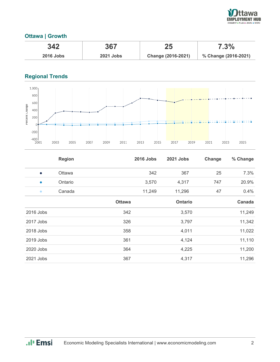

## **Ottawa | Growth**

| 342              | 367              | 25                 | 7.3%                 |
|------------------|------------------|--------------------|----------------------|
| <b>2016 Jobs</b> | <b>2021 Jobs</b> | Change (2016-2021) | % Change (2016-2021) |

# **Regional Trends**



|           | <b>Region</b> |               | <b>2016 Jobs</b> | 2021 Jobs | Change | % Change |
|-----------|---------------|---------------|------------------|-----------|--------|----------|
| $\bullet$ | Ottawa        |               | 342              | 367       | 25     | 7.3%     |
| $\bullet$ | Ontario       |               | 3,570            | 4,317     | 747    | 20.9%    |
| $\bullet$ | Canada        |               | 11,249           | 11,296    | 47     | 0.4%     |
|           |               | <b>Ottawa</b> |                  | Ontario   |        | Canada   |
| 2016 Jobs |               | 342           |                  | 3,570     |        | 11,249   |
| 2017 Jobs |               | 326           |                  | 3,797     |        | 11,342   |
| 2018 Jobs |               | 358           |                  | 4,011     |        | 11,022   |
| 2019 Jobs |               | 361           |                  | 4,124     |        | 11,110   |
| 2020 Jobs |               | 364           |                  | 4,225     |        | 11,200   |
| 2021 Jobs |               | 367           |                  | 4,317     |        | 11,296   |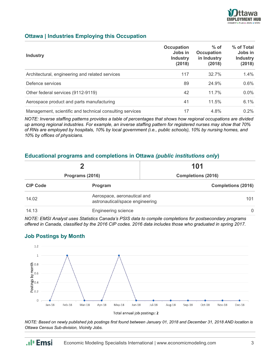

#### **Ottawa | Industries Employing this Occupation**

| <b>Industry</b>                                          | <b>Occupation</b><br>Jobs in<br><b>Industry</b><br>(2018) | $%$ of<br><b>Occupation</b><br>in Industry<br>(2018) | % of Total<br>Jobs in<br><b>Industry</b><br>(2018) |
|----------------------------------------------------------|-----------------------------------------------------------|------------------------------------------------------|----------------------------------------------------|
| Architectural, engineering and related services          | 117                                                       | 32.7%                                                | $1.4\%$                                            |
| Defence services                                         | 89                                                        | 24.9%                                                | 0.6%                                               |
| Other federal services (9112-9119)                       | 42                                                        | 11.7%                                                | $0.0\%$                                            |
| Aerospace product and parts manufacturing                | 41                                                        | 11.5%                                                | 6.1%                                               |
| Management, scientific and technical consulting services | 17                                                        | 4.8%                                                 | $0.2\%$                                            |

*NOTE: Inverse staffing patterns provides a table of percentages that shows how regional occupations are divided up among regional industries. For example, an inverse staffing pattern for registered nurses may show that 70% of RNs are employed by hospitals, 10% by local government (i.e., public schools), 10% by nursing homes, and 10% by offices of physicians.*

#### **Educational programs and completions in Ottawa** *(public institutions only***)**

| Programs (2016) |                                                                | 101<br><b>Completions (2016)</b> |  |
|-----------------|----------------------------------------------------------------|----------------------------------|--|
|                 |                                                                |                                  |  |
| 14.02           | Aerospace, aeronautical and<br>astronautical/space engineering | 101                              |  |
| 14.13           | <b>Engineering science</b>                                     | $\Omega$                         |  |

*NOTE: EMSI Analyst uses Statistics Canada's PSIS data to compile completions for postsecondary programs offered in Canada, classified by the 2016 CIP codes. 2016 data includes those who graduated in spring 2017.*

#### **Job Postings by Month**

.**.**I<sub>I</sub> Emsi



*NOTE: Based on newly published job postings first found between January 01, 2018 and December 31, 2018 AND location is Ottawa Census Sub-division, Vicinity Jobs.*